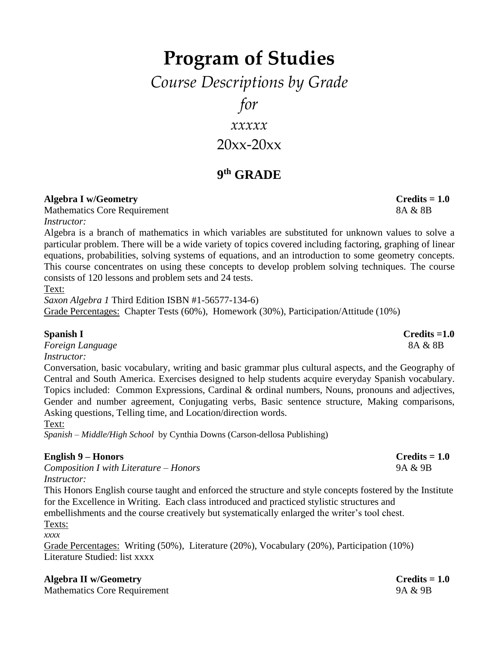# **Program of Studies**

*Course Descriptions by Grade*

*for*

*xxxxx*

 $20xx-20xx$ 

# **9 th GRADE**

### **Algebra I w/Geometry Credits = 1.0**

Mathematics Core Requirement 8A & 8B *Instructor:* 

Algebra is a branch of mathematics in which variables are substituted for unknown values to solve a particular problem. There will be a wide variety of topics covered including factoring, graphing of linear equations, probabilities, solving systems of equations, and an introduction to some geometry concepts. This course concentrates on using these concepts to develop problem solving techniques. The course consists of 120 lessons and problem sets and 24 tests.

Text:

*Saxon Algebra 1* Third Edition ISBN #1-56577-134-6) Grade Percentages: Chapter Tests (60%), Homework (30%), Participation/Attitude (10%)

*Foreign Language* 8A & 8B *Instructor:* 

Conversation, basic vocabulary, writing and basic grammar plus cultural aspects, and the Geography of Central and South America. Exercises designed to help students acquire everyday Spanish vocabulary. Topics included: Common Expressions, Cardinal & ordinal numbers, Nouns, pronouns and adjectives, Gender and number agreement, Conjugating verbs, Basic sentence structure, Making comparisons, Asking questions, Telling time, and Location/direction words.

Text:

*Spanish – Middle/High School* by Cynthia Downs (Carson-dellosa Publishing)

### **English 9 – Honors Credits = 1.0**

*Composition I with Literature – Honors* 9A & 9B *Instructor:* 

This Honors English course taught and enforced the structure and style concepts fostered by the Institute for the Excellence in Writing. Each class introduced and practiced stylistic structures and embellishments and the course creatively but systematically enlarged the writer's tool chest. Texts:

*xxxx*

Grade Percentages: Writing (50%), Literature (20%), Vocabulary (20%), Participation (10%) Literature Studied: list xxxx

### **Algebra II w/Geometry Credits = 1.0**

Mathematics Core Requirement 9A & 9B

**Spanish I Credits =1.0**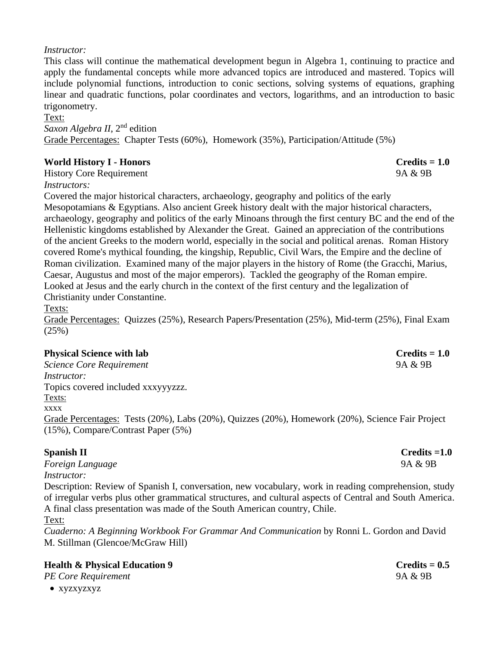#### *Instructor:*

This class will continue the mathematical development begun in Algebra 1, continuing to practice and apply the fundamental concepts while more advanced topics are introduced and mastered. Topics will include polynomial functions, introduction to conic sections, solving systems of equations, graphing linear and quadratic functions, polar coordinates and vectors, logarithms, and an introduction to basic trigonometry.

Text: *Saxon Algebra II*, 2nd edition Grade Percentages: Chapter Tests (60%), Homework (35%), Participation/Attitude (5%)

### **World History I - Honors Credits = 1.0**

History Core Requirement 9A & 9B

*Instructors:* 

Covered the major historical characters, archaeology, geography and politics of the early Mesopotamians & Egyptians. Also ancient Greek history dealt with the major historical characters, archaeology, geography and politics of the early Minoans through the first century BC and the end of the Hellenistic kingdoms established by Alexander the Great. Gained an appreciation of the contributions of the ancient Greeks to the modern world, especially in the social and political arenas. Roman History covered Rome's mythical founding, the kingship, Republic, Civil Wars, the Empire and the decline of Roman civilization. Examined many of the major players in the history of Rome (the Gracchi, Marius, Caesar, Augustus and most of the major emperors). Tackled the geography of the Roman empire. Looked at Jesus and the early church in the context of the first century and the legalization of Christianity under Constantine.

Texts:

Grade Percentages: Quizzes (25%), Research Papers/Presentation (25%), Mid-term (25%), Final Exam (25%)

### **Physical Science with lab Credits = 1.0**

*Science Core Requirement* 9A & 9B *Instructor:*  Topics covered included xxxyyyzzz. Texts: xxxx Grade Percentages: Tests (20%), Labs (20%), Quizzes (20%), Homework (20%), Science Fair Project (15%), Compare/Contrast Paper (5%)

*Foreign Language* 9A & 9B *Instructor:* 

Description: Review of Spanish I, conversation, new vocabulary, work in reading comprehension, study of irregular verbs plus other grammatical structures, and cultural aspects of Central and South America. A final class presentation was made of the South American country, Chile.

Text:

*Cuaderno: A Beginning Workbook For Grammar And Communication* by Ronni L. Gordon and David M. Stillman (Glencoe/McGraw Hill)

### **Health & Physical Education 9 Credits** = 0.5

### *PE Core Requirement* 9A & 9B

• xyzxyzxyz

**Spanish II** Credits =1.0